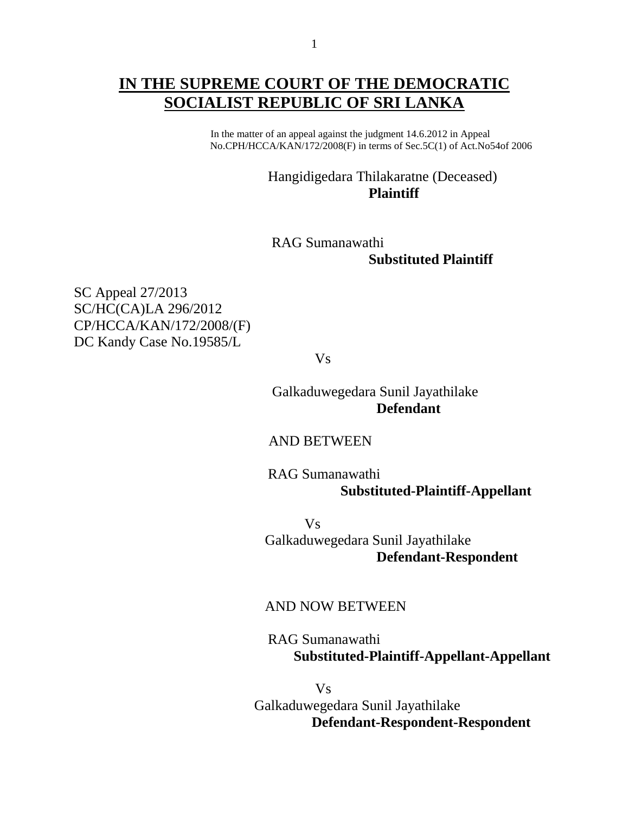# **IN THE SUPREME COURT OF THE DEMOCRATIC SOCIALIST REPUBLIC OF SRI LANKA**

 In the matter of an appeal against the judgment 14.6.2012 in Appeal No.CPH/HCCA/KAN/172/2008(F) in terms of Sec.5C(1) of Act.No54of 2006

### Hangidigedara Thilakaratne (Deceased) **Plaintiff**

## RAG Sumanawathi  **Substituted Plaintiff**

SC Appeal 27/2013 SC/HC(CA)LA 296/2012 CP/HCCA/KAN/172/2008/(F) DC Kandy Case No.19585/L

Vs

 Galkaduwegedara Sunil Jayathilake **Defendant**

#### AND BETWEEN

 RAG Sumanawathi  **Substituted-Plaintiff-Appellant**

 Vs Galkaduwegedara Sunil Jayathilake **Defendant-Respondent**

#### AND NOW BETWEEN

 RAG Sumanawathi  **Substituted-Plaintiff-Appellant-Appellant**

Vs Galkaduwegedara Sunil Jayathilake **Defendant-Respondent-Respondent**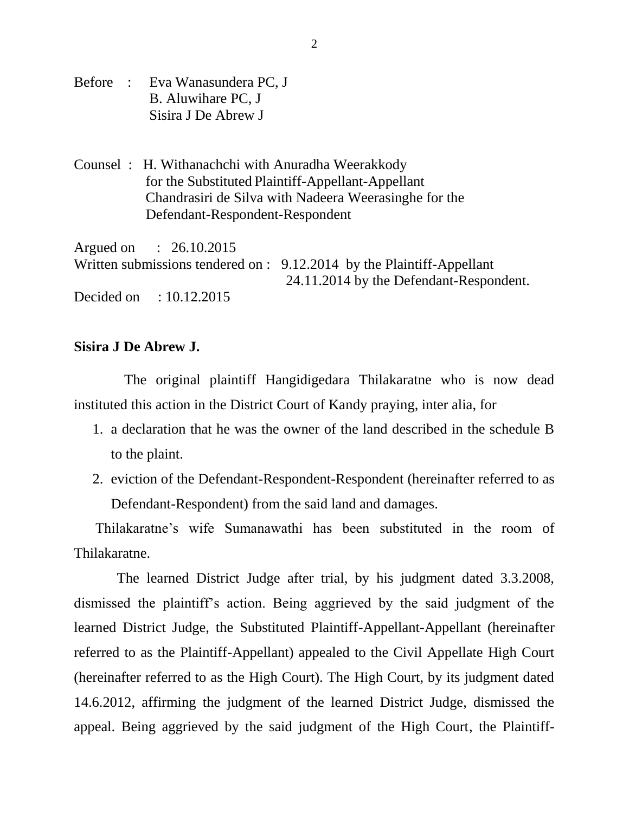- Before : Eva Wanasundera PC, J B. Aluwihare PC, J Sisira J De Abrew J
- Counsel : H. Withanachchi with Anuradha Weerakkody for the Substituted Plaintiff-Appellant-Appellant Chandrasiri de Silva with Nadeera Weerasinghe for the Defendant-Respondent-Respondent

Argued on : 26.10.2015 Written submissions tendered on : 9.12.2014 by the Plaintiff-Appellant 24.11.2014 by the Defendant-Respondent. Decided on : 10.12.2015

#### **Sisira J De Abrew J.**

The original plaintiff Hangidigedara Thilakaratne who is now dead instituted this action in the District Court of Kandy praying, inter alia, for

- 1. a declaration that he was the owner of the land described in the schedule B to the plaint.
- 2. eviction of the Defendant-Respondent-Respondent (hereinafter referred to as Defendant-Respondent) from the said land and damages.

 Thilakaratne"s wife Sumanawathi has been substituted in the room of Thilakaratne.

 The learned District Judge after trial, by his judgment dated 3.3.2008, dismissed the plaintiff"s action. Being aggrieved by the said judgment of the learned District Judge, the Substituted Plaintiff-Appellant-Appellant (hereinafter referred to as the Plaintiff-Appellant) appealed to the Civil Appellate High Court (hereinafter referred to as the High Court). The High Court, by its judgment dated 14.6.2012, affirming the judgment of the learned District Judge, dismissed the appeal. Being aggrieved by the said judgment of the High Court, the Plaintiff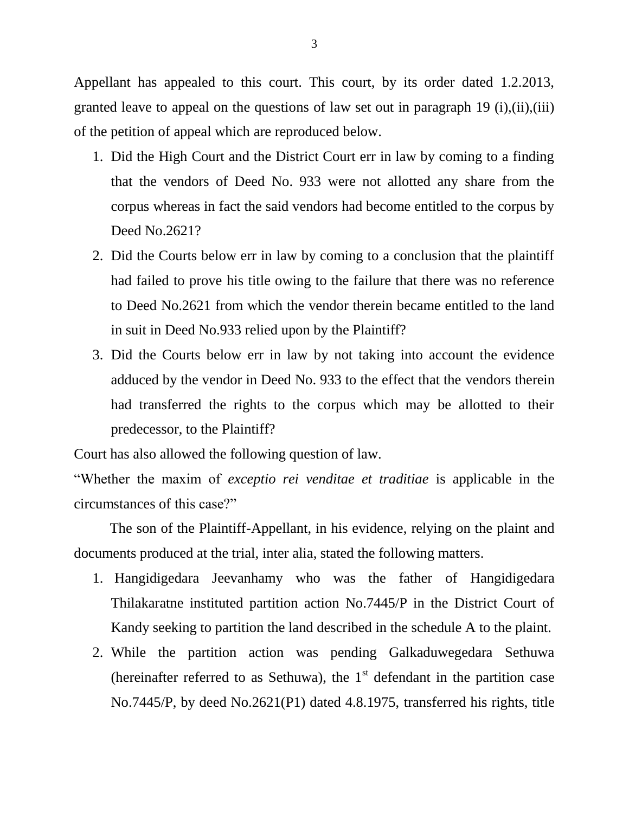Appellant has appealed to this court. This court, by its order dated 1.2.2013, granted leave to appeal on the questions of law set out in paragraph 19  $(i)$ , $(ii)$ , $(iii)$ of the petition of appeal which are reproduced below.

- 1. Did the High Court and the District Court err in law by coming to a finding that the vendors of Deed No. 933 were not allotted any share from the corpus whereas in fact the said vendors had become entitled to the corpus by Deed No.2621?
- 2. Did the Courts below err in law by coming to a conclusion that the plaintiff had failed to prove his title owing to the failure that there was no reference to Deed No.2621 from which the vendor therein became entitled to the land in suit in Deed No.933 relied upon by the Plaintiff?
- 3. Did the Courts below err in law by not taking into account the evidence adduced by the vendor in Deed No. 933 to the effect that the vendors therein had transferred the rights to the corpus which may be allotted to their predecessor, to the Plaintiff?

Court has also allowed the following question of law.

"Whether the maxim of *exceptio rei venditae et traditiae* is applicable in the circumstances of this case?"

 The son of the Plaintiff-Appellant, in his evidence, relying on the plaint and documents produced at the trial, inter alia, stated the following matters.

- 1. Hangidigedara Jeevanhamy who was the father of Hangidigedara Thilakaratne instituted partition action No.7445/P in the District Court of Kandy seeking to partition the land described in the schedule A to the plaint.
- 2. While the partition action was pending Galkaduwegedara Sethuwa (hereinafter referred to as Sethuwa), the  $1<sup>st</sup>$  defendant in the partition case No.7445/P, by deed No.2621(P1) dated 4.8.1975, transferred his rights, title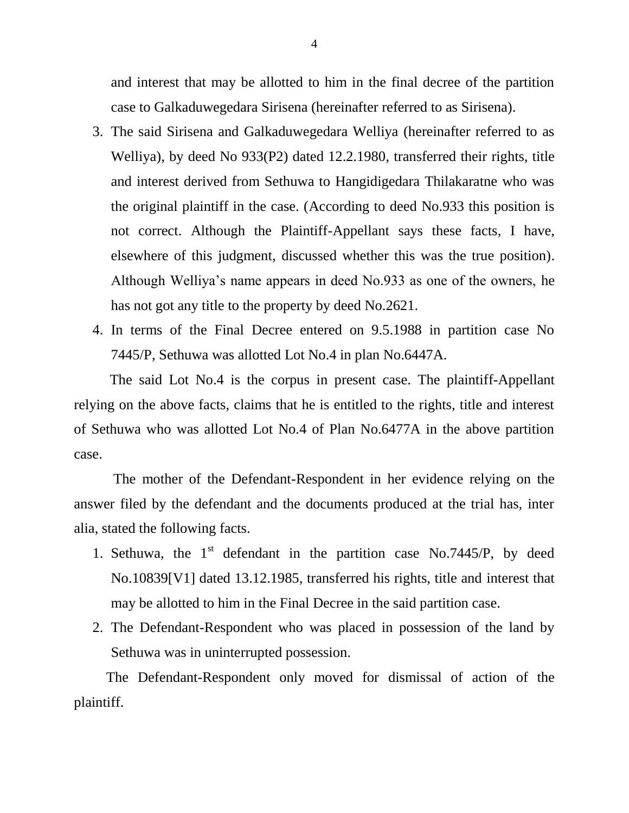and interest that may be allotted to him in the final decree of the partition case to Galkaduwegedara Sirisena (hereinafter referred to as Sirisena).

- 3. The said Sirisena and Galkaduwegedara Welliya (hereinafter referred to as Welliya), by deed No 933(P2) dated 12.2.1980, transferred their rights, title and interest derived from Sethuwa to Hangidigedara Thilakaratne who was the original plaintiff in the case. (According to deed No.933 this position is not correct. Although the Plaintiff-Appellant says these facts, I have, elsewhere of this judgment, discussed whether this was the true position). Although Welliya"s name appears in deed No.933 as one of the owners, he has not got any title to the property by deed No.2621.
- 4. In terms of the Final Decree entered on 9.5.1988 in partition case No 7445/P, Sethuwa was allotted Lot No.4 in plan No.6447A.

 The said Lot No.4 is the corpus in present case. The plaintiff-Appellant relying on the above facts, claims that he is entitled to the rights, title and interest of Sethuwa who was allotted Lot No.4 of Plan No.6477A in the above partition case.

 The mother of the Defendant-Respondent in her evidence relying on the answer filed by the defendant and the documents produced at the trial has, inter alia, stated the following facts.

- 1. Sethuwa, the  $1<sup>st</sup>$  defendant in the partition case No.7445/P, by deed No.10839[V1] dated 13.12.1985, transferred his rights, title and interest that may be allotted to him in the Final Decree in the said partition case.
- 2. The Defendant-Respondent who was placed in possession of the land by Sethuwa was in uninterrupted possession.

 The Defendant-Respondent only moved for dismissal of action of the plaintiff.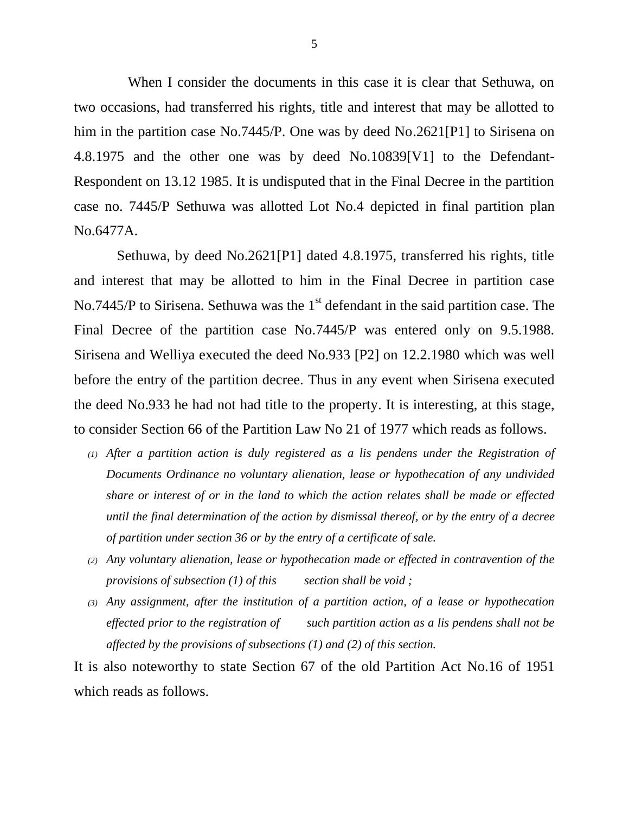When I consider the documents in this case it is clear that Sethuwa, on two occasions, had transferred his rights, title and interest that may be allotted to him in the partition case No.7445/P. One was by deed No.2621[P1] to Sirisena on 4.8.1975 and the other one was by deed No.10839[V1] to the Defendant-Respondent on 13.12 1985. It is undisputed that in the Final Decree in the partition case no. 7445/P Sethuwa was allotted Lot No.4 depicted in final partition plan No.6477A.

 Sethuwa, by deed No.2621[P1] dated 4.8.1975, transferred his rights, title and interest that may be allotted to him in the Final Decree in partition case No.7445/P to Sirisena. Sethuwa was the  $1<sup>st</sup>$  defendant in the said partition case. The Final Decree of the partition case No.7445/P was entered only on 9.5.1988. Sirisena and Welliya executed the deed No.933 [P2] on 12.2.1980 which was well before the entry of the partition decree. Thus in any event when Sirisena executed the deed No.933 he had not had title to the property. It is interesting, at this stage, to consider Section 66 of the Partition Law No 21 of 1977 which reads as follows.

- *(1) After a partition action is duly registered as a lis pendens under the Registration of Documents Ordinance no voluntary alienation, lease or hypothecation of any undivided share or interest of or in the land to which the action relates shall be made or effected until the final determination of the action by dismissal thereof, or by the entry of a decree of partition under section 36 or by the entry of a certificate of sale.*
- *(2) Any voluntary alienation, lease or hypothecation made or effected in contravention of the provisions of subsection (1) of this section shall be void ;*
- *(3) Any assignment, after the institution of a partition action, of a lease or hypothecation effected prior to the registration of such partition action as a lis pendens shall not be affected by the provisions of subsections (1) and (2) of this section.*

It is also noteworthy to state Section 67 of the old Partition Act No.16 of 1951 which reads as follows.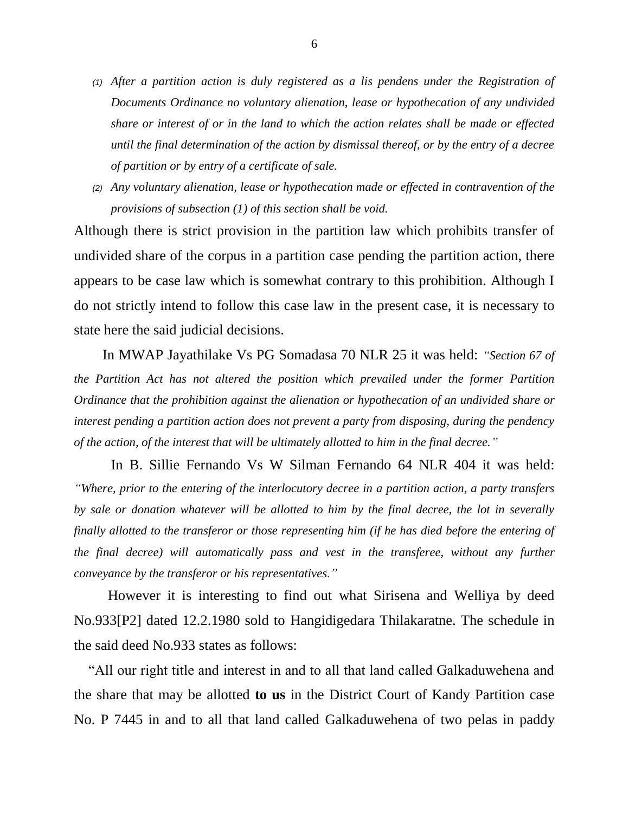- *(1) After a partition action is duly registered as a lis pendens under the Registration of Documents Ordinance no voluntary alienation, lease or hypothecation of any undivided share or interest of or in the land to which the action relates shall be made or effected until the final determination of the action by dismissal thereof, or by the entry of a decree of partition or by entry of a certificate of sale.*
- *(2) Any voluntary alienation, lease or hypothecation made or effected in contravention of the provisions of subsection (1) of this section shall be void.*

Although there is strict provision in the partition law which prohibits transfer of undivided share of the corpus in a partition case pending the partition action, there appears to be case law which is somewhat contrary to this prohibition. Although I do not strictly intend to follow this case law in the present case, it is necessary to state here the said judicial decisions.

 In MWAP Jayathilake Vs PG Somadasa 70 NLR 25 it was held: *"Section 67 of the Partition Act has not altered the position which prevailed under the former Partition Ordinance that the prohibition against the alienation or hypothecation of an undivided share or interest pending a partition action does not prevent a party from disposing, during the pendency of the action, of the interest that will be ultimately allotted to him in the final decree."*

In B. Sillie Fernando Vs W Silman Fernando 64 NLR 404 it was held: *"Where, prior to the entering of the interlocutory decree in a partition action, a party transfers by sale or donation whatever will be allotted to him by the final decree, the lot in severally finally allotted to the transferor or those representing him (if he has died before the entering of the final decree) will automatically pass and vest in the transferee, without any further conveyance by the transferor or his representatives."*

 However it is interesting to find out what Sirisena and Welliya by deed No.933[P2] dated 12.2.1980 sold to Hangidigedara Thilakaratne. The schedule in the said deed No.933 states as follows:

 "All our right title and interest in and to all that land called Galkaduwehena and the share that may be allotted **to us** in the District Court of Kandy Partition case No. P 7445 in and to all that land called Galkaduwehena of two pelas in paddy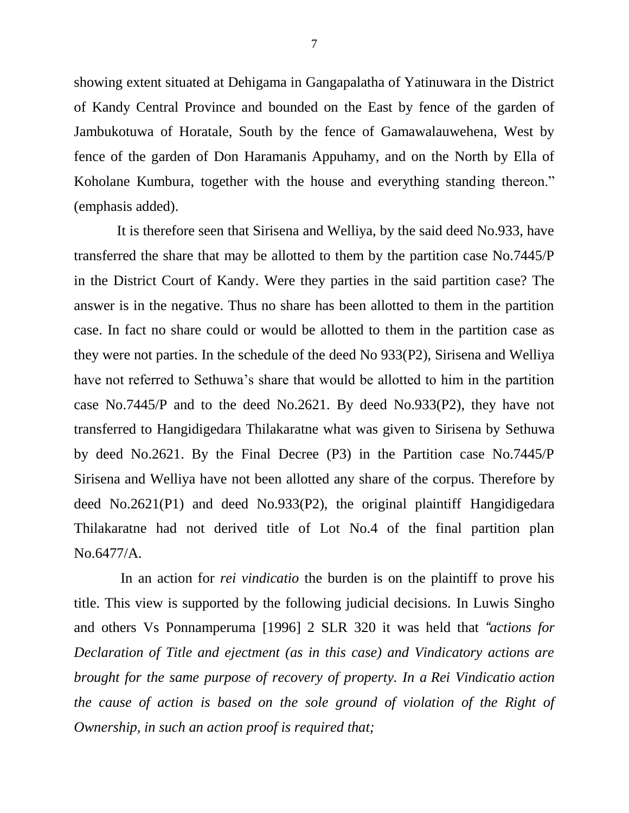showing extent situated at Dehigama in Gangapalatha of Yatinuwara in the District of Kandy Central Province and bounded on the East by fence of the garden of Jambukotuwa of Horatale, South by the fence of Gamawalauwehena, West by fence of the garden of Don Haramanis Appuhamy, and on the North by Ella of Koholane Kumbura, together with the house and everything standing thereon." (emphasis added).

 It is therefore seen that Sirisena and Welliya, by the said deed No.933, have transferred the share that may be allotted to them by the partition case No.7445/P in the District Court of Kandy. Were they parties in the said partition case? The answer is in the negative. Thus no share has been allotted to them in the partition case. In fact no share could or would be allotted to them in the partition case as they were not parties. In the schedule of the deed No 933(P2), Sirisena and Welliya have not referred to Sethuwa's share that would be allotted to him in the partition case No.7445/P and to the deed No.2621. By deed No.933(P2), they have not transferred to Hangidigedara Thilakaratne what was given to Sirisena by Sethuwa by deed No.2621. By the Final Decree (P3) in the Partition case No.7445/P Sirisena and Welliya have not been allotted any share of the corpus. Therefore by deed No.2621(P1) and deed No.933(P2), the original plaintiff Hangidigedara Thilakaratne had not derived title of Lot No.4 of the final partition plan No.6477/A.

In an action for *rei vindicatio* the burden is on the plaintiff to prove his title. This view is supported by the following judicial decisions. In Luwis Singho and others Vs Ponnamperuma [1996] 2 SLR 320 it was held that *"actions for Declaration of Title and ejectment (as in this case) and Vindicatory actions are brought for the same purpose of recovery of property. In a Rei Vindicatio action the cause of action is based on the sole ground of violation of the Right of Ownership, in such an action proof is required that;*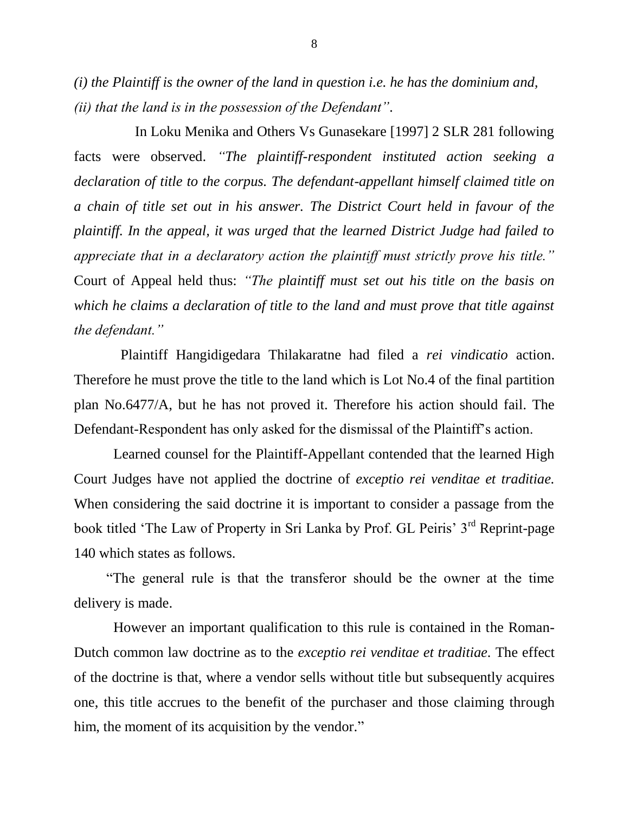*(i) the Plaintiff is the owner of the land in question i.e. he has the dominium and, (ii) that the land is in the possession of the Defendant".*

 In Loku Menika and Others Vs Gunasekare [1997] 2 SLR 281 following facts were observed. *"The plaintiff-respondent instituted action seeking a declaration of title to the corpus. The defendant-appellant himself claimed title on a chain of title set out in his answer. The District Court held in favour of the plaintiff. In the appeal, it was urged that the learned District Judge had failed to appreciate that in a declaratory action the plaintiff must strictly prove his title."* Court of Appeal held thus: *"The plaintiff must set out his title on the basis on which he claims a declaration of title to the land and must prove that title against the defendant."*

 Plaintiff Hangidigedara Thilakaratne had filed a *rei vindicatio* action. Therefore he must prove the title to the land which is Lot No.4 of the final partition plan No.6477/A, but he has not proved it. Therefore his action should fail. The Defendant-Respondent has only asked for the dismissal of the Plaintiff"s action.

 Learned counsel for the Plaintiff-Appellant contended that the learned High Court Judges have not applied the doctrine of *exceptio rei venditae et traditiae.* When considering the said doctrine it is important to consider a passage from the book titled 'The Law of Property in Sri Lanka by Prof. GL Peiris' 3<sup>rd</sup> Reprint-page 140 which states as follows.

 "The general rule is that the transferor should be the owner at the time delivery is made.

 However an important qualification to this rule is contained in the Roman-Dutch common law doctrine as to the *exceptio rei venditae et traditiae.* The effect of the doctrine is that, where a vendor sells without title but subsequently acquires one, this title accrues to the benefit of the purchaser and those claiming through him, the moment of its acquisition by the vendor."